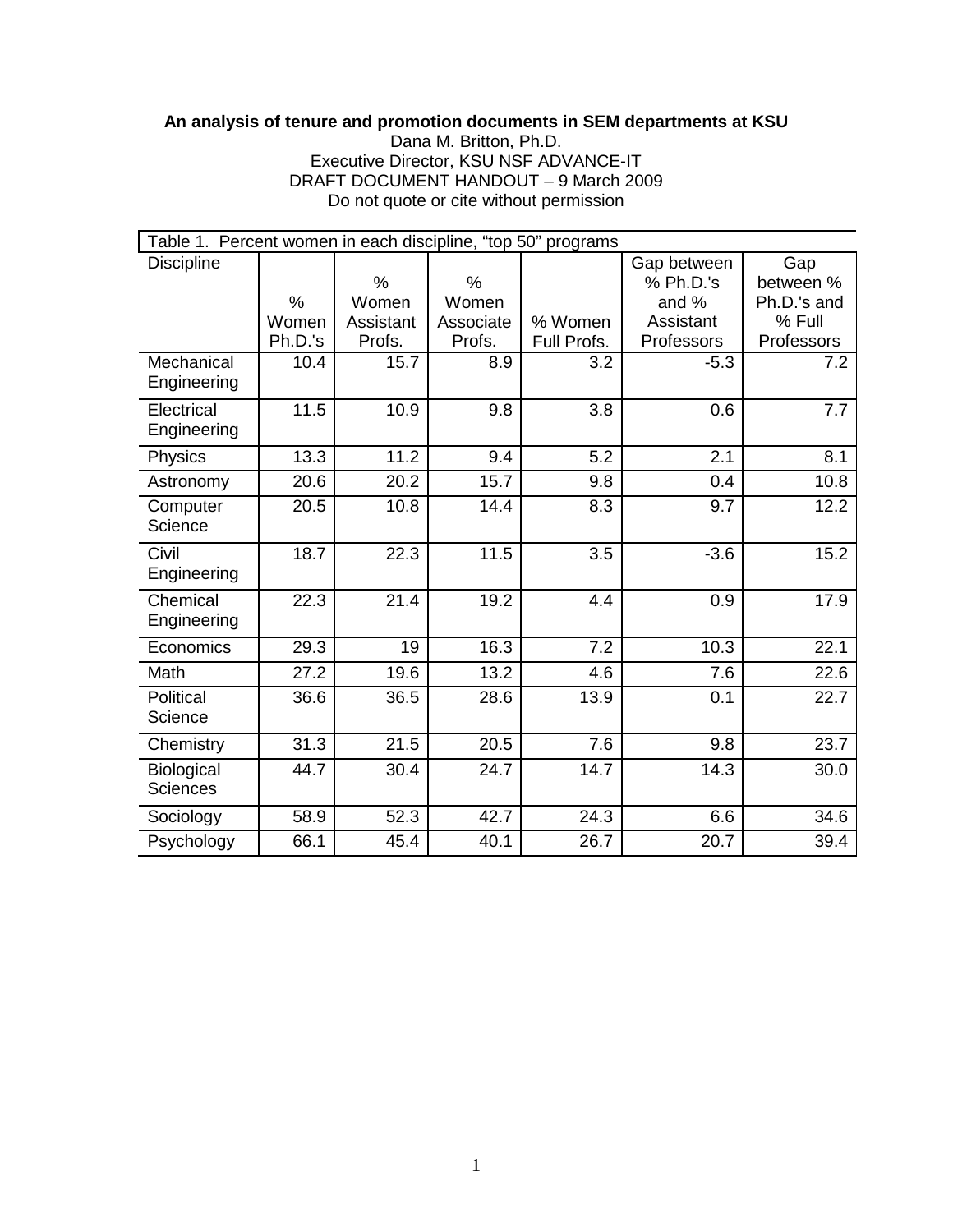## **An analysis of tenure and promotion documents in SEM departments at KSU**

Dana M. Britton, Ph.D. Executive Director, KSU NSF ADVANCE-IT DRAFT DOCUMENT HANDOUT – 9 March 2009 Do not quote or cite without permission

| Table 1. Percent women in each discipline, "top 50" programs |         |           |           |             |             |             |  |  |  |  |  |
|--------------------------------------------------------------|---------|-----------|-----------|-------------|-------------|-------------|--|--|--|--|--|
| <b>Discipline</b>                                            |         |           |           |             | Gap between | Gap         |  |  |  |  |  |
|                                                              |         | %         | $\%$      |             | % Ph.D.'s   | between %   |  |  |  |  |  |
|                                                              | %       | Women     | Women     |             | and %       | Ph.D.'s and |  |  |  |  |  |
|                                                              | Women   | Assistant | Associate | % Women     | Assistant   | % Full      |  |  |  |  |  |
|                                                              | Ph.D.'s | Profs.    | Profs.    | Full Profs. | Professors  | Professors  |  |  |  |  |  |
| Mechanical<br>Engineering                                    | 10.4    | 15.7      | 8.9       | 3.2         | $-5.3$      | 7.2         |  |  |  |  |  |
| Electrical                                                   | 11.5    | 10.9      | 9.8       | 3.8         | 0.6         | 7.7         |  |  |  |  |  |
| Engineering                                                  |         |           |           |             |             |             |  |  |  |  |  |
| Physics                                                      | 13.3    | 11.2      | 9.4       | 5.2         | 2.1         | 8.1         |  |  |  |  |  |
| Astronomy                                                    | 20.6    | 20.2      | 15.7      | 9.8         | 0.4         | 10.8        |  |  |  |  |  |
| Computer                                                     | 20.5    | 10.8      | 14.4      | 8.3         | 9.7         | 12.2        |  |  |  |  |  |
| Science                                                      |         |           |           |             |             |             |  |  |  |  |  |
| Civil                                                        | 18.7    | 22.3      | 11.5      | 3.5         | $-3.6$      | 15.2        |  |  |  |  |  |
| Engineering                                                  |         |           |           |             |             |             |  |  |  |  |  |
| Chemical                                                     | 22.3    | 21.4      | 19.2      | 4.4         | 0.9         | 17.9        |  |  |  |  |  |
| Engineering                                                  |         |           |           |             |             |             |  |  |  |  |  |
| Economics                                                    | 29.3    | 19        | 16.3      | 7.2         | 10.3        | 22.1        |  |  |  |  |  |
| Math                                                         | 27.2    | 19.6      | 13.2      | 4.6         | 7.6         | 22.6        |  |  |  |  |  |
| Political                                                    | 36.6    | 36.5      | 28.6      | 13.9        | 0.1         | 22.7        |  |  |  |  |  |
| Science                                                      |         |           |           |             |             |             |  |  |  |  |  |
| Chemistry                                                    | 31.3    | 21.5      | 20.5      | 7.6         | 9.8         | 23.7        |  |  |  |  |  |
| Biological                                                   | 44.7    | 30.4      | 24.7      | 14.7        | 14.3        | 30.0        |  |  |  |  |  |
| <b>Sciences</b>                                              |         |           |           |             |             |             |  |  |  |  |  |
| Sociology                                                    | 58.9    | 52.3      | 42.7      | 24.3        | 6.6         | 34.6        |  |  |  |  |  |
| Psychology                                                   | 66.1    | 45.4      | 40.1      | 26.7        | 20.7        | 39.4        |  |  |  |  |  |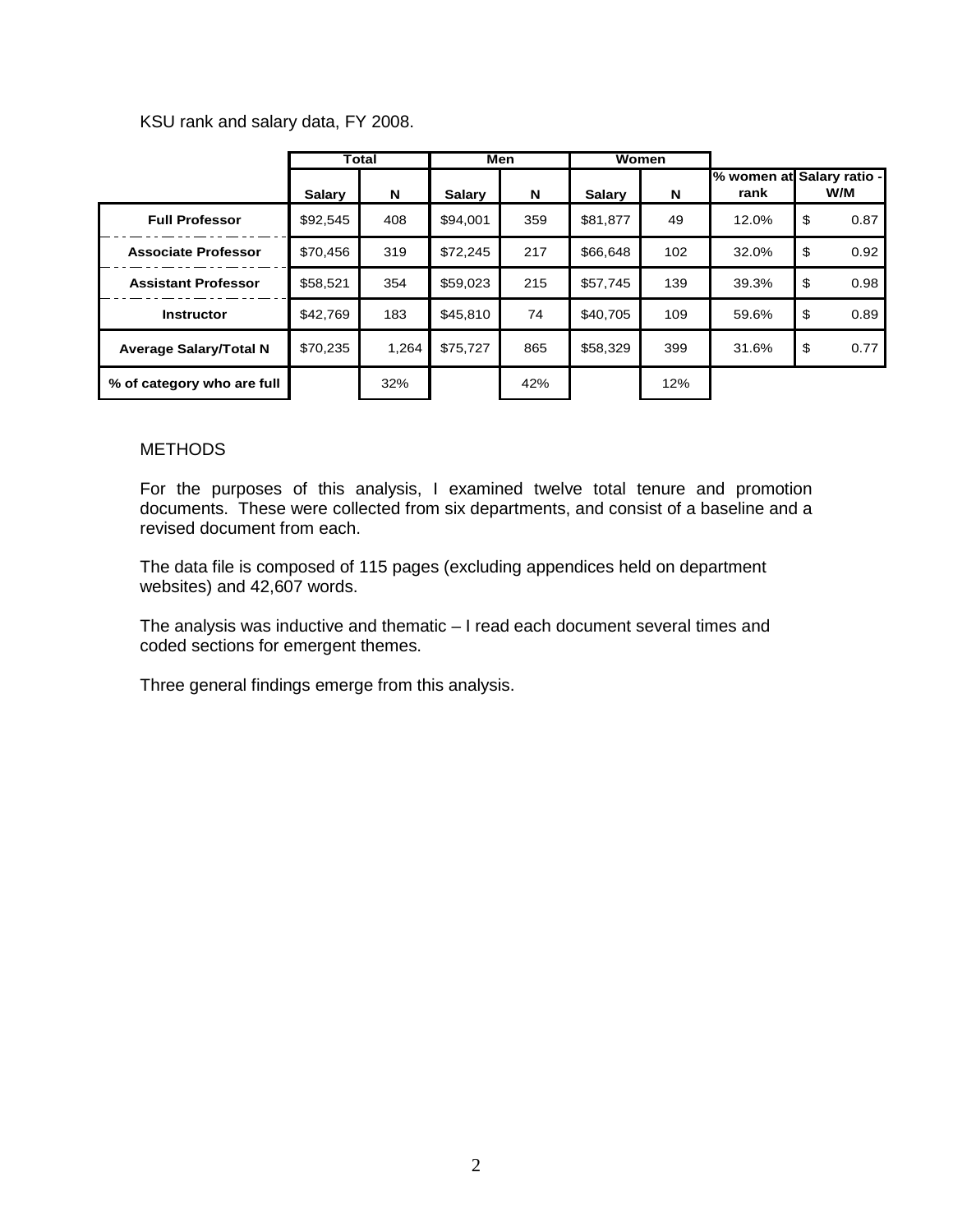KSU rank and salary data, FY 2008.

|                               | Total         |       | Men           |     | Women    |     |       |                                  |
|-------------------------------|---------------|-------|---------------|-----|----------|-----|-------|----------------------------------|
|                               | <b>Salary</b> | N     | <b>Salary</b> | N   | Salary   | N   | rank  | % women at Salary ratio -<br>W/M |
| <b>Full Professor</b>         | \$92,545      | 408   | \$94.001      | 359 | \$81,877 | 49  | 12.0% | 0.87<br>\$                       |
| <b>Associate Professor</b>    | \$70.456      | 319   | \$72.245      | 217 | \$66,648 | 102 | 32.0% | 0.92<br>\$                       |
| <b>Assistant Professor</b>    | \$58,521      | 354   | \$59,023      | 215 | \$57,745 | 139 | 39.3% | 0.98<br>\$                       |
| <b>Instructor</b>             | \$42,769      | 183   | \$45.810      | 74  | \$40,705 | 109 | 59.6% | 0.89<br>-\$                      |
| <b>Average Salary/Total N</b> | \$70,235      | 1.264 | \$75,727      | 865 | \$58,329 | 399 | 31.6% | \$<br>0.77                       |
| % of category who are full    |               | 32%   |               | 42% |          | 12% |       |                                  |

## **METHODS**

For the purposes of this analysis, I examined twelve total tenure and promotion documents. These were collected from six departments, and consist of a baseline and a revised document from each.

The data file is composed of 115 pages (excluding appendices held on department websites) and 42,607 words.

The analysis was inductive and thematic – I read each document several times and coded sections for emergent themes.

Three general findings emerge from this analysis.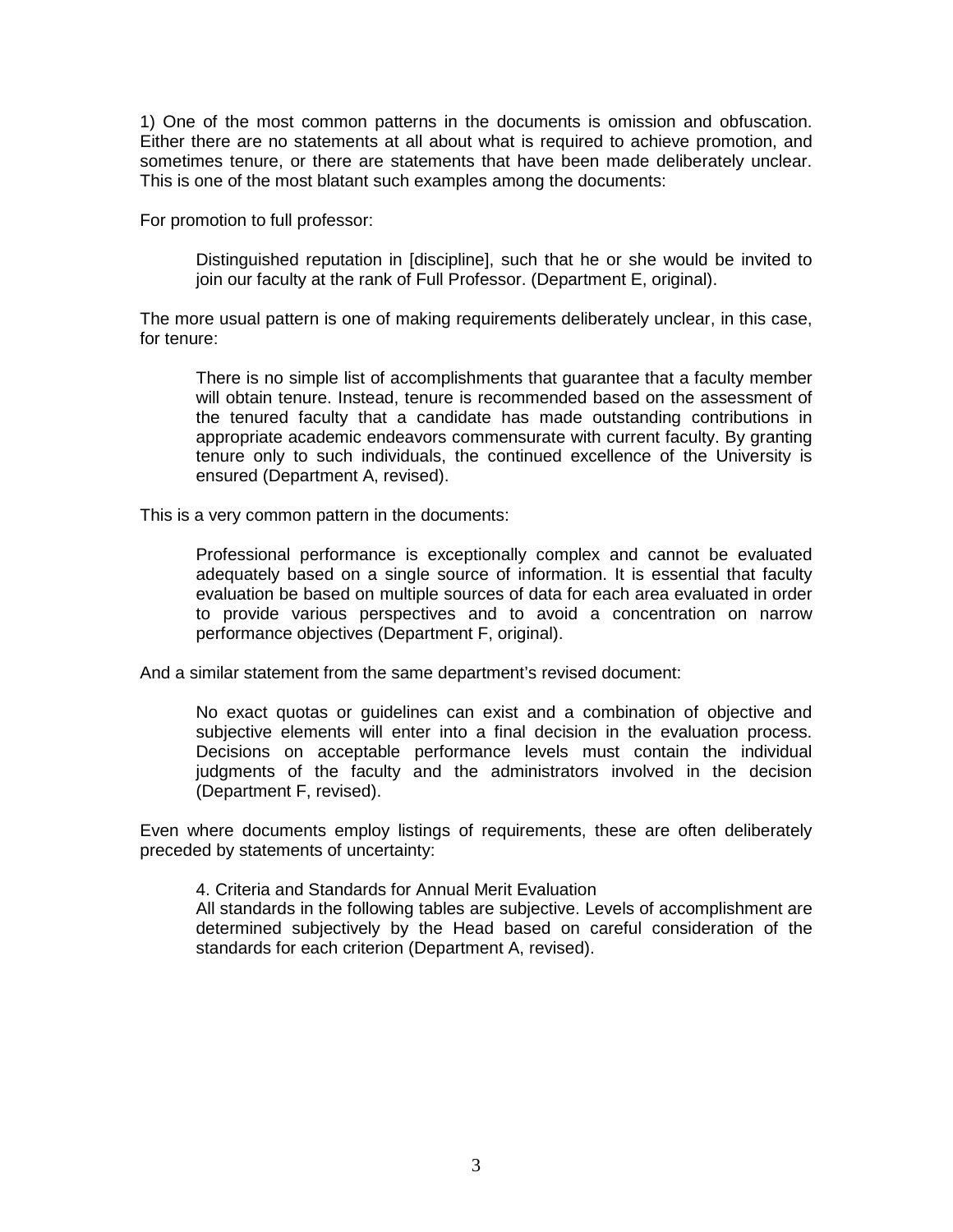1) One of the most common patterns in the documents is omission and obfuscation. Either there are no statements at all about what is required to achieve promotion, and sometimes tenure, or there are statements that have been made deliberately unclear. This is one of the most blatant such examples among the documents:

For promotion to full professor:

Distinguished reputation in [discipline], such that he or she would be invited to join our faculty at the rank of Full Professor. (Department E, original).

The more usual pattern is one of making requirements deliberately unclear, in this case, for tenure:

There is no simple list of accomplishments that guarantee that a faculty member will obtain tenure. Instead, tenure is recommended based on the assessment of the tenured faculty that a candidate has made outstanding contributions in appropriate academic endeavors commensurate with current faculty. By granting tenure only to such individuals, the continued excellence of the University is ensured (Department A, revised).

This is a very common pattern in the documents:

Professional performance is exceptionally complex and cannot be evaluated adequately based on a single source of information. It is essential that faculty evaluation be based on multiple sources of data for each area evaluated in order to provide various perspectives and to avoid a concentration on narrow performance objectives (Department F, original).

And a similar statement from the same department's revised document:

No exact quotas or guidelines can exist and a combination of objective and subjective elements will enter into a final decision in the evaluation process. Decisions on acceptable performance levels must contain the individual judgments of the faculty and the administrators involved in the decision (Department F, revised).

Even where documents employ listings of requirements, these are often deliberately preceded by statements of uncertainty:

4. Criteria and Standards for Annual Merit Evaluation

All standards in the following tables are subjective. Levels of accomplishment are determined subjectively by the Head based on careful consideration of the standards for each criterion (Department A, revised).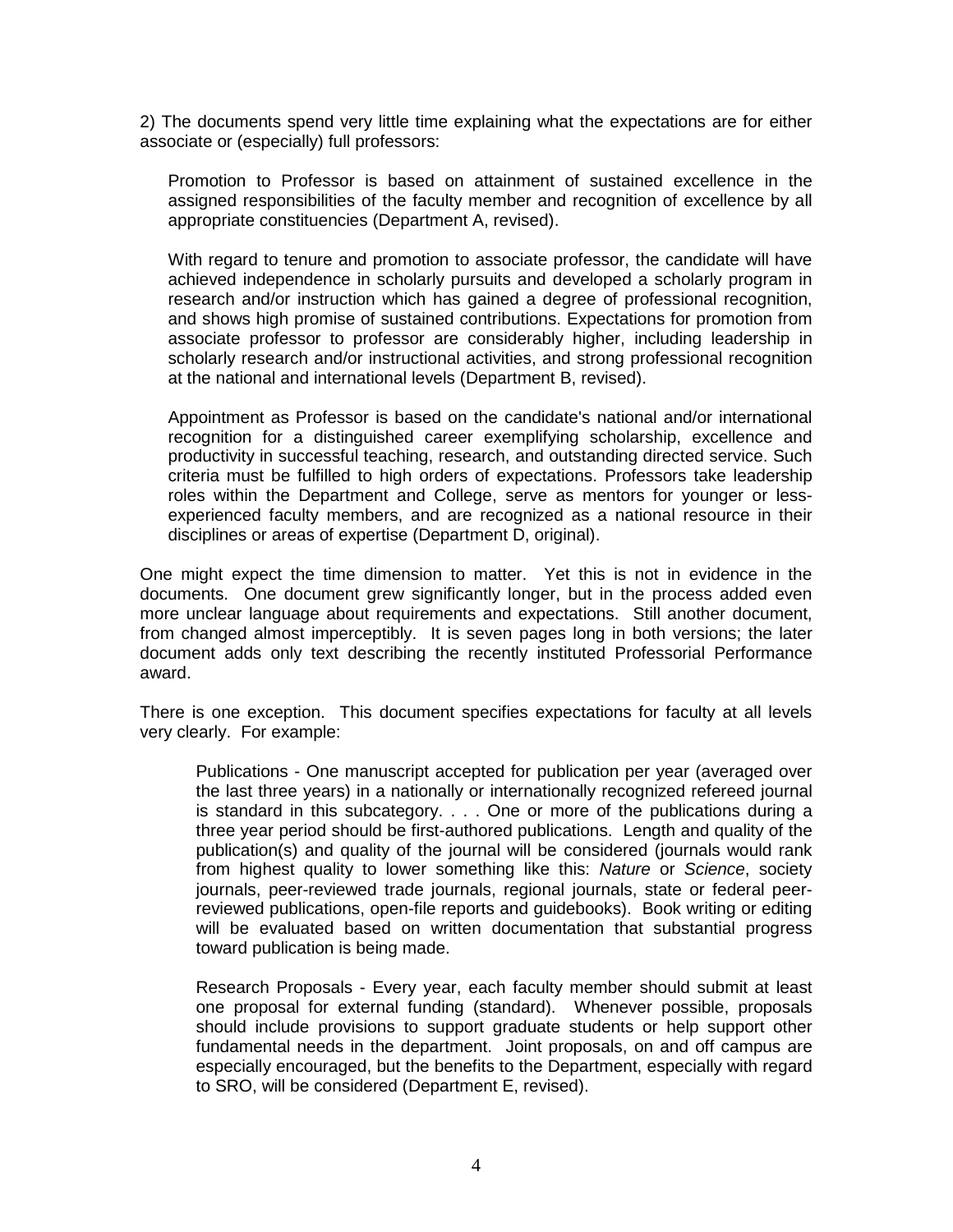2) The documents spend very little time explaining what the expectations are for either associate or (especially) full professors:

Promotion to Professor is based on attainment of sustained excellence in the assigned responsibilities of the faculty member and recognition of excellence by all appropriate constituencies (Department A, revised).

With regard to tenure and promotion to associate professor, the candidate will have achieved independence in scholarly pursuits and developed a scholarly program in research and/or instruction which has gained a degree of professional recognition, and shows high promise of sustained contributions. Expectations for promotion from associate professor to professor are considerably higher, including leadership in scholarly research and/or instructional activities, and strong professional recognition at the national and international levels (Department B, revised).

Appointment as Professor is based on the candidate's national and/or international recognition for a distinguished career exemplifying scholarship, excellence and productivity in successful teaching, research, and outstanding directed service. Such criteria must be fulfilled to high orders of expectations. Professors take leadership roles within the Department and College, serve as mentors for younger or lessexperienced faculty members, and are recognized as a national resource in their disciplines or areas of expertise (Department D, original).

One might expect the time dimension to matter. Yet this is not in evidence in the documents. One document grew significantly longer, but in the process added even more unclear language about requirements and expectations. Still another document, from changed almost imperceptibly. It is seven pages long in both versions; the later document adds only text describing the recently instituted Professorial Performance award.

There is one exception. This document specifies expectations for faculty at all levels very clearly. For example:

Publications - One manuscript accepted for publication per year (averaged over the last three years) in a nationally or internationally recognized refereed journal is standard in this subcategory. . . . One or more of the publications during a three year period should be first-authored publications. Length and quality of the publication(s) and quality of the journal will be considered (journals would rank from highest quality to lower something like this: Nature or Science, society journals, peer-reviewed trade journals, regional journals, state or federal peerreviewed publications, open-file reports and guidebooks). Book writing or editing will be evaluated based on written documentation that substantial progress toward publication is being made.

Research Proposals - Every year, each faculty member should submit at least one proposal for external funding (standard). Whenever possible, proposals should include provisions to support graduate students or help support other fundamental needs in the department. Joint proposals, on and off campus are especially encouraged, but the benefits to the Department, especially with regard to SRO, will be considered (Department E, revised).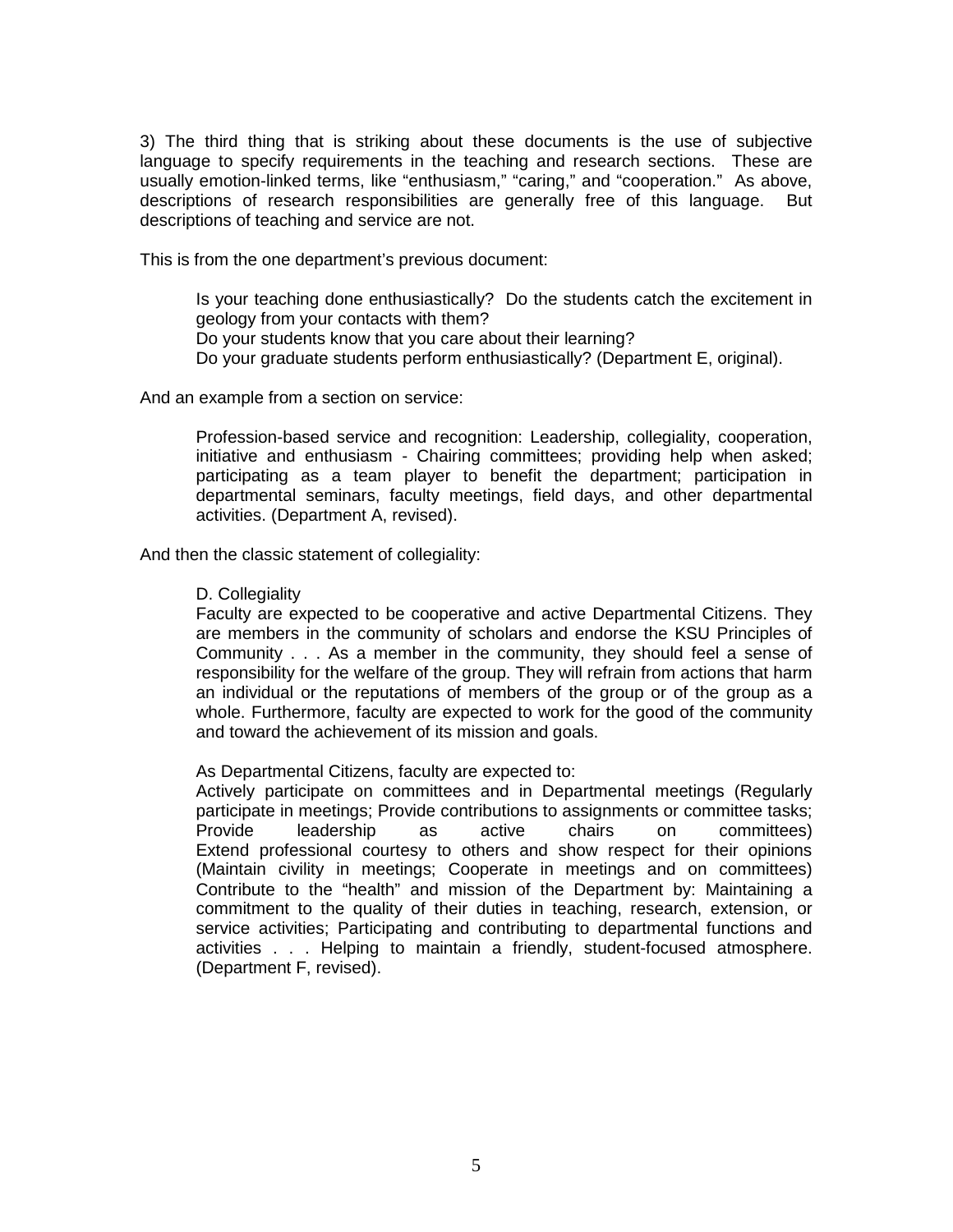3) The third thing that is striking about these documents is the use of subjective language to specify requirements in the teaching and research sections. These are usually emotion-linked terms, like "enthusiasm," "caring," and "cooperation." As above, descriptions of research responsibilities are generally free of this language. But descriptions of teaching and service are not.

This is from the one department's previous document:

Is your teaching done enthusiastically? Do the students catch the excitement in geology from your contacts with them? Do your students know that you care about their learning? Do your graduate students perform enthusiastically? (Department E, original).

And an example from a section on service:

Profession-based service and recognition: Leadership, collegiality, cooperation, initiative and enthusiasm - Chairing committees; providing help when asked; participating as a team player to benefit the department; participation in departmental seminars, faculty meetings, field days, and other departmental activities. (Department A, revised).

And then the classic statement of collegiality:

## D. Collegiality

Faculty are expected to be cooperative and active Departmental Citizens. They are members in the community of scholars and endorse the KSU Principles of Community . . . As a member in the community, they should feel a sense of responsibility for the welfare of the group. They will refrain from actions that harm an individual or the reputations of members of the group or of the group as a whole. Furthermore, faculty are expected to work for the good of the community and toward the achievement of its mission and goals.

As Departmental Citizens, faculty are expected to:

Actively participate on committees and in Departmental meetings (Regularly participate in meetings; Provide contributions to assignments or committee tasks; Provide leadership as active chairs on committees) Extend professional courtesy to others and show respect for their opinions (Maintain civility in meetings; Cooperate in meetings and on committees) Contribute to the "health" and mission of the Department by: Maintaining a commitment to the quality of their duties in teaching, research, extension, or service activities; Participating and contributing to departmental functions and activities . . . Helping to maintain a friendly, student-focused atmosphere. (Department F, revised).